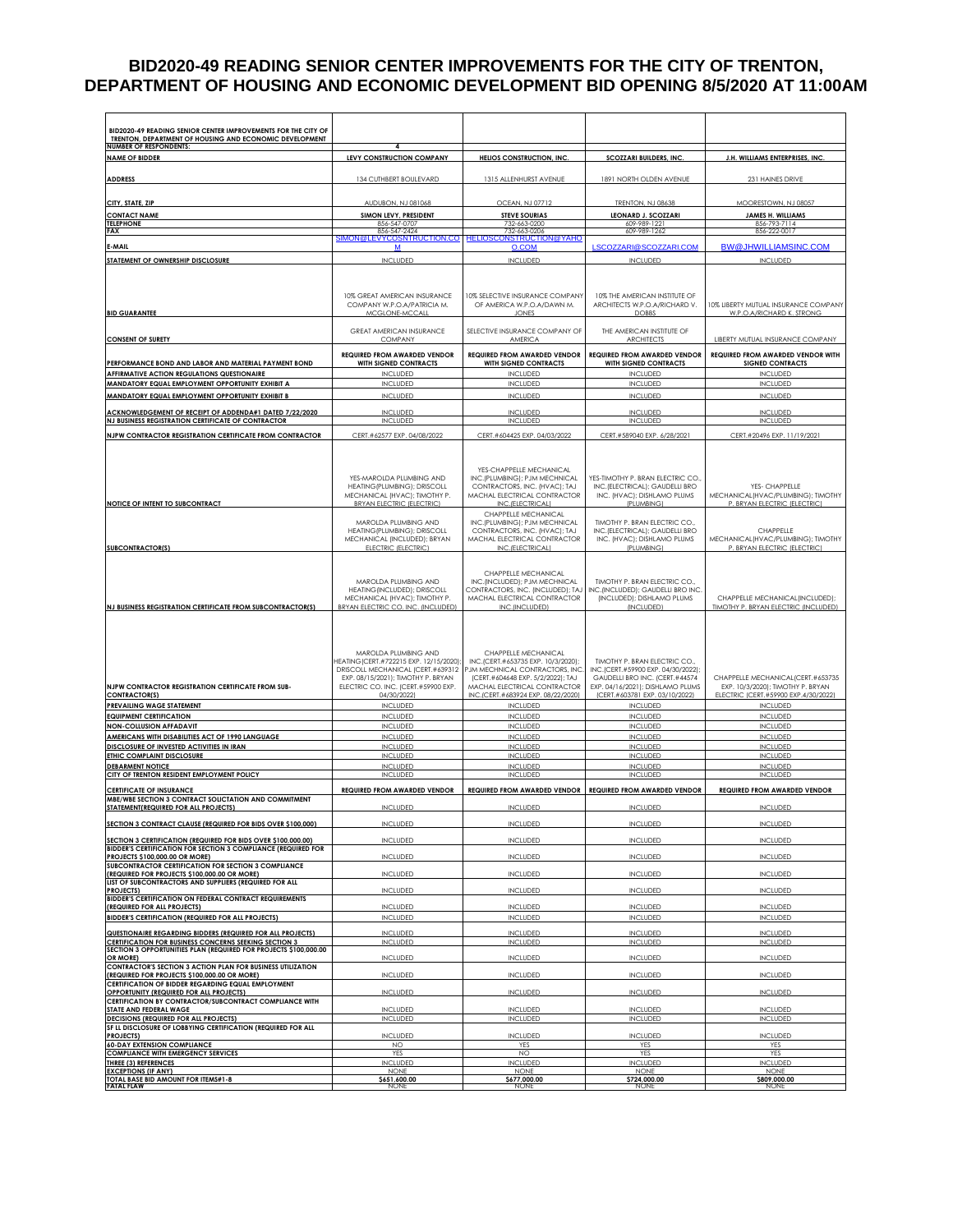### **BID2020-49 READING SENIOR CENTER IMPROVEMENTS FOR THE CITY OF TRENTON, DEPARTMENT OF HOUSING AND ECONOMIC DEVELOPMENT BID OPENING 8/5/2020 AT 11:00AM**

| BID2020-49 READING SENIOR CENTER IMPROVEMENTS FOR THE CITY OF<br>TRENTON, DEPARTMENT OF HOUSING AND ECONOMIC DEVELOPMENT   |                                                                              |                                                                      |                                                                    |                                                                        |
|----------------------------------------------------------------------------------------------------------------------------|------------------------------------------------------------------------------|----------------------------------------------------------------------|--------------------------------------------------------------------|------------------------------------------------------------------------|
| <b>NUMBER OF RESPONDENTS:</b><br><b>NAME OF BIDDER</b>                                                                     | 4<br>LEVY CONSTRUCTION COMPANY                                               | <b>HELIOS CONSTRUCTION, INC.</b>                                     | <b>SCOZZARI BUILDERS, INC.</b>                                     | J.H. WILLIAMS ENTERPRISES, INC.                                        |
|                                                                                                                            |                                                                              |                                                                      |                                                                    |                                                                        |
| <b>ADDRESS</b>                                                                                                             | 134 CUTHBERT BOULEVARD                                                       | 1315 ALLENHURST AVENUE                                               | 1891 NORTH OLDEN AVENUE                                            | 231 HAINES DRIVE                                                       |
| CITY, STATE, ZIP                                                                                                           | <b>AUDUBON, NJ 081068</b>                                                    | <b>OCEAN, NJ 07712</b>                                               | TRENTON, NJ 08638                                                  | MOORESTOWN, NJ 08057                                                   |
| <b>CONTACT NAME</b>                                                                                                        | SIMON LEVY, PRESIDENT                                                        | <b>STEVE SOURIAS</b>                                                 | <b>LEONARD J. SCOZZARI</b>                                         | JAMES H. WILLIAMS                                                      |
| <b>TELEPHONE</b><br><b>FAX</b>                                                                                             | 856-547-0707<br>856-547-2424<br>SIMON@LEVYCOSNTR                             | 732-663-0200<br>732-663-0206<br><mark>NSTRUCTION @ YAHO</mark>       | 609-989-1221<br>609-989-1262                                       | 856-793-7114<br>856-222-0017                                           |
| E-MAIL                                                                                                                     | <b>NTRUCTION.CO</b><br>M                                                     | <b>HELIOSCO</b><br>O.COM                                             | LSCOZZARI@SCOZZARI.COM                                             | <b>BW@JHWILLIAMSINC.COM</b>                                            |
| STATEMENT OF OWNERSHIP DISCLOSURE                                                                                          | <b>INCLUDED</b>                                                              | <b>INCLUDED</b>                                                      | <b>INCLUDED</b>                                                    | <b>INCLUDED</b>                                                        |
|                                                                                                                            |                                                                              |                                                                      |                                                                    |                                                                        |
|                                                                                                                            | 10% GREAT AMERICAN INSURANCE                                                 | 10% SELECTIVE INSURANCE COMPANY                                      | 10% THE AMERICAN INSTITUTE OF                                      |                                                                        |
|                                                                                                                            | COMPANY W.P.O.A/PATRICIA M.                                                  | OF AMERICA W.P.O.A/DAWN M.                                           | ARCHITECTS W.P.O.A/RICHARD V.                                      | 10% LIBERTY MUTUAL INSURANCE COMPANY<br>W.P.O.A/RICHARD K. STRONG      |
| <b>BID GUARANTEE</b>                                                                                                       | MCGLONE-MCCALL                                                               | <b>JONES</b>                                                         | <b>DOBBS</b>                                                       |                                                                        |
| <b>CONSENT OF SURETY</b>                                                                                                   | GREAT AMERICAN INSURANCE<br><b>COMPANY</b>                                   | SELECTIVE INSURANCE COMPANY OF<br>AMERICA                            | THE AMERICAN INSTITUTE OF<br><b>ARCHITECTS</b>                     | LIBERTY MUTUAL INSURANCE COMPANY                                       |
|                                                                                                                            | <b>REQUIRED FROM AWARDED VENDOR</b>                                          | <b>REQUIRED FROM AWARDED VENDOR</b>                                  | REQUIRED FROM AWARDED VENDOR                                       | REQUIRED FROM AWARDED VENDOR WITH                                      |
| PERFORMANCE BOND AND LABOR AND MATERIAL PAYMENT BOND                                                                       | <b>WITH SIGNED CONTRACTS</b>                                                 | <b>WITH SIGNED CONTRACTS</b>                                         | WITH SIGNED CONTRACTS                                              | <b>SIGNED CONTRACTS</b>                                                |
| AFFIRMATIVE ACTION REGULATIONS QUESTIONAIRE<br>MANDATORY EQUAL EMPLOYMENT OPPORTUNITY EXHIBIT A                            | <b>INCLUDED</b><br><b>INCLUDED</b>                                           | <b>INCLUDED</b><br><b>INCLUDED</b>                                   | INCLUDED<br><b>INCLUDED</b>                                        | <b>INCLUDED</b><br><b>INCLUDED</b>                                     |
| MANDATORY EQUAL EMPLOYMENT OPPORTUNITY EXHIBIT B                                                                           | <b>INCLUDED</b>                                                              | <b>INCLUDED</b>                                                      | <b>INCLUDED</b>                                                    | <b>INCLUDED</b>                                                        |
| ACKNOWLEDGEMENT OF RECEIPT OF ADDENDA#1 DATED 7/22/2020                                                                    | <b>INCLUDED</b>                                                              | <b>INCLUDED</b>                                                      | <b>INCLUDED</b>                                                    | <b>INCLUDED</b>                                                        |
| NJ BUSINESS REGISTRATION CERTIFICATE OF CONTRACTOR                                                                         | <b>INCLUDED</b>                                                              | <b>INCLUDED</b>                                                      | <b>INCLUDED</b>                                                    | <b>INCLUDED</b><br>CERT.#20496 EXP. 11/19/2021                         |
| NJPW CONTRACTOR REGISTRATION CERTIFICATE FROM CONTRACTOR                                                                   | CERT.#62577 EXP. 04/08/2022                                                  | CERT.#604425 EXP. 04/03/2022                                         | CERT.#589040 EXP. 6/28/2021                                        |                                                                        |
|                                                                                                                            |                                                                              |                                                                      |                                                                    |                                                                        |
|                                                                                                                            | YES-MAROLDA PLUMBING AND                                                     | YES-CHAPPELLE MECHANICAL                                             | YES-TIMOTHY P. BRAN ELECTRIC CO.                                   |                                                                        |
|                                                                                                                            | HEATING (PLUMBING): DRISCOLL                                                 | INC.(PLUMBING); PJM MECHNICAL<br>CONTRACTORS, INC. (HVAC); TAJ       | INC.(ELECTRICAL); GAUDELLI BRO                                     | YES- CHAPPELLE                                                         |
| NOTICE OF INTENT TO SUBCONTRACT                                                                                            | MECHANICAL (HVAC); TIMOTHY P.<br><b>BRYAN ELECTRIC (ELECTRIC)</b>            | MACHAL ELECTRICAL CONTRACTOR<br>INC.(ELECTRICAL)                     | INC. (HVAC); DISHLAMO PLUMS<br>(PLUMBING)                          | MECHANICAL(HVAC/PLUMBING); TIMOTHY<br>P. BRYAN ELECTRIC (ELECTRIC)     |
|                                                                                                                            | MAROLDA PLUMBING AND                                                         | CHAPPELLE MECHANICAL                                                 | TIMOTHY P. BRAN ELECTRIC CO.,                                      |                                                                        |
|                                                                                                                            | HEATING (PLUMBING); DRISCOLL                                                 | INC.(PLUMBING); PJM MECHNICAL<br>CONTRACTORS, INC. (HVAC); TAJ       | INC. (ELECTRICAL): GAUDELLI BRO                                    | CHAPPELLE                                                              |
| <b>SUBCONTRACTOR(S)</b>                                                                                                    | MECHANICAL (INCLUDED); BRYAN<br>ELECTRIC (ELECTRIC)                          | MACHAL ELECTRICAL CONTRACTOR<br>INC.(ELECTRICAL)                     | INC. (HVAC); DISHLAMO PLUMS<br>(PLUMBING)                          | MECHANICAL(HVAC/PLUMBING); TIMOTHY<br>P. BRYAN ELECTRIC (ELECTRIC)     |
|                                                                                                                            |                                                                              |                                                                      |                                                                    |                                                                        |
|                                                                                                                            | MAROLDA PLUMBING AND                                                         | CHAPPELLE MECHANICAL<br>INC.(INCLUDED); PJM MECHNICAL                | TIMOTHY P. BRAN ELECTRIC CO.                                       |                                                                        |
|                                                                                                                            | HEATING (INCLUDED); DRISCOLL<br>MECHANICAL (HVAC); TIMOTHY P.                | CONTRACTORS, INC. (INCLUDED); TAJ<br>MACHAL ELECTRICAL CONTRACTOR    | INC.(INCLUDED); GAUDELLI BRO INC.<br>(INCLUDED); DISHLAMO PLUMS    | CHAPPELLE MECHANICAL(INCLUDED);                                        |
| NJ BUSINESS REGISTRATION CERTIFICATE FROM SUBCONTRACTOR(S)                                                                 | BRYAN ELECTRIC CO. INC. (INCLUDED)                                           | INC.(INCLUDED)                                                       | (INCLUDED)                                                         | <b>TIMOTHY P. BRYAN ELECTRIC (INCLUDED)</b>                            |
|                                                                                                                            |                                                                              |                                                                      |                                                                    |                                                                        |
|                                                                                                                            |                                                                              |                                                                      |                                                                    |                                                                        |
|                                                                                                                            | MAROLDA PLUMBING AND                                                         | CHAPPELLE MECHANICAL                                                 |                                                                    |                                                                        |
|                                                                                                                            | HEATING (CERT.#722215 EXP. 12/15/2020);<br>DRISCOLL MECHANICAL (CERT.#639312 | INC.(CERT.#653735 EXP. 10/3/2020);<br>PJM MECHNICAL CONTRACTORS, INC | TIMOTHY P. BRAN ELECTRIC CO.<br>INC.(CERT.#59900 EXP. 04/30/2022); |                                                                        |
| NJPW CONTRACTOR REGISTRATION CERTIFICATE FROM SUB-                                                                         | EXP. 08/15/2021); TIMOTHY P. BRYAN<br>ELECTRIC CO. INC. (CERT.#59900 EXP.    | (CERT.#604648 EXP. 5/2/2022): TAJ<br>MACHAL ELECTRICAL CONTRACTOR    | GAUDELLI BRO INC. (CERT.#44574<br>EXP. 04/16/2021); DISHLAMO PLUMS | CHAPPELLE MECHANICAL(CERT.#653735<br>EXP. 10/3/2020); TIMOTHY P. BRYAN |
| <b>CONTRACTOR(S)</b>                                                                                                       | 04/30/2022)                                                                  | INC.(CERT.#683924 EXP. 08/22/2020)                                   | (CERT.#603781 EXP. 03/10/2022)                                     | ELECTRIC (CERT.#59900 EXP.4/30/2022)                                   |
| <b>PREVAILING WAGE STATEMENT</b><br><b>EQUIPMENT CERTIFICATION</b>                                                         | <b>INCLUDED</b><br><b>INCLUDED</b>                                           | <b>INCLUDED</b><br><b>INCLUDED</b>                                   | <b>INCLUDED</b><br><b>INCLUDED</b>                                 | <b>INCLUDED</b><br><b>INCLUDED</b>                                     |
| <b>NON-COLLUSION AFFADAVIT</b>                                                                                             | <b>INCLUDED</b>                                                              | <b>INCLUDED</b>                                                      | <b>INCLUDED</b>                                                    | <b>INCLUDED</b>                                                        |
| AMERICANS WITH DISABILITIES ACT OF 1990 LANGUAGE<br>DISCLOSURE OF INVESTED ACTIVITIES IN IRAN                              | <b>INCLUDED</b><br>INCLUDED                                                  | <b>INCLUDED</b><br><b>INCLUDED</b>                                   | <b>INCLUDED</b><br><b>INCLUDED</b>                                 | <b>INCLUDED</b><br><b>INCLUDED</b>                                     |
| ETHIC COMPLAINT DISCLOSURE                                                                                                 | <b>INCLUDED</b>                                                              | <b>INCLUDED</b>                                                      | <b>INCLUDED</b>                                                    | <b>INCLUDED</b>                                                        |
| <b>DEBARMENT NOTICE</b><br>CITY OF TRENTON RESIDENT EMPLOYMENT POLICY                                                      | <b>INCLUDED</b><br><b>INCLUDED</b>                                           | <b>INCLUDED</b><br><b>INCLUDED</b>                                   | <b>INCLUDED</b><br><b>INCLUDED</b>                                 | <b>INCLUDED</b><br><b>INCLUDED</b>                                     |
| <b>CERTIFICATE OF INSURANCE</b>                                                                                            | <b>REQUIRED FROM AWARDED VENDOR</b>                                          | REQUIRED FROM AWARDED VENDOR REQUIRED FROM AWARDED VENDOR            |                                                                    | <b>REQUIRED FROM AWARDED VENDOR</b>                                    |
| MBE/WBE SECTION 3 CONTRACT SOLICTATION AND COMMITMENT<br>STATEMENT(REQUIRED FOR ALL PROJECTS)                              | <b>INCLUDED</b>                                                              | <b>INCLUDED</b>                                                      | <b>INCLUDED</b>                                                    | <b>INCLUDED</b>                                                        |
| SECTION 3 CONTRACT CLAUSE (REQUIRED FOR BIDS OVER \$100,000)                                                               | <b>INCLUDED</b>                                                              | <b>INCLUDED</b>                                                      | <b>INCLUDED</b>                                                    | <b>INCLUDED</b>                                                        |
| SECTION 3 CERTIFICATION (REQUIRED FOR BIDS OVER \$100,000.00)                                                              | <b>INCLUDED</b>                                                              | <b>INCLUDED</b>                                                      | <b>INCLUDED</b>                                                    | <b>INCLUDED</b>                                                        |
| BIDDER'S CERTIFICATION FOR SECTION 3 COMPLIANCE (REQUIRED FOR                                                              |                                                                              |                                                                      |                                                                    |                                                                        |
| PROJECTS \$100,000.00 OR MORE)<br>SUBCONTRACTOR CERTIFICATION FOR SECTION 3 COMPLIANCE                                     | <b>INCLUDED</b>                                                              | <b>INCLUDED</b>                                                      | <b>INCLUDED</b>                                                    | <b>INCLUDED</b>                                                        |
| (REQUIRED FOR PROJECTS \$100,000,00 OR MORE)<br>LIST OF SUBCONTRACTORS AND SUPPLIERS (REQUIRED FOR ALL                     | <b>INCLUDED</b>                                                              | <b>INCLUDED</b>                                                      | <b>INCLUDED</b>                                                    | <b>INCLUDED</b>                                                        |
| <b>PROJECTS)</b><br><b>BIDDER'S CERTIFICATION ON FEDERAL CONTRACT REQUIREMENTS</b>                                         | <b>INCLUDED</b>                                                              | <b>INCLUDED</b>                                                      | <b>INCLUDED</b>                                                    | <b>INCLUDED</b>                                                        |
| (REQUIRED FOR ALL PROJECTS)                                                                                                | <b>INCLUDED</b>                                                              | <b>INCLUDED</b>                                                      | <b>INCLUDED</b>                                                    | <b>INCLUDED</b>                                                        |
| <b>BIDDER'S CERTIFICATION (REQUIRED FOR ALL PROJECTS)</b>                                                                  | <b>INCLUDED</b>                                                              | <b>INCLUDED</b>                                                      | <b>INCLUDED</b>                                                    | <b>INCLUDED</b>                                                        |
| QUESTIONAIRE REGARDING BIDDERS (REQUIRED FOR ALL PROJECTS)<br><b>CERTIFICATION FOR BUSINESS CONCERNS SEEKING SECTION 3</b> | <b>INCLUDED</b><br><b>INCLUDED</b>                                           | <b>INCLUDED</b><br><b>INCLUDED</b>                                   | <b>INCLUDED</b><br><b>INCLUDED</b>                                 | <b>INCLUDED</b><br><b>INCLUDED</b>                                     |
| SECTION 3 OPPORTUNITIES PLAN (REQUIRED FOR PROJECTS \$100,000.00<br>OR MORE)                                               | <b>INCLUDED</b>                                                              | <b>INCLUDED</b>                                                      | <b>INCLUDED</b>                                                    | <b>INCLUDED</b>                                                        |
| <b>CONTRACTOR'S SECTION 3 ACTION PLAN FOR BUSINESS UTILIZATION</b><br>(REQUIRED FOR PROJECTS \$100,000.00 OR MORE)         | INCLUDED                                                                     | <b>INCLUDED</b>                                                      | <b>INCLUDED</b>                                                    | <b>INCLUDED</b>                                                        |
| CERTIFICATION OF BIDDER REGARDING EQUAL EMPLOYMENT                                                                         |                                                                              |                                                                      |                                                                    |                                                                        |
| OPPORTUNITY (REQUIRED FOR ALL PROJECTS)<br>CERTIFICATION BY CONTRACTOR/SUBCONTRACT COMPLIANCE WITH                         | <b>INCLUDED</b>                                                              | <b>INCLUDED</b>                                                      | <b>INCLUDED</b>                                                    | <b>INCLUDED</b>                                                        |
| STATE AND FEDERAL WAGE<br>DECISIONS (REQUIRED FOR ALL PROJECTS)                                                            | <b>INCLUDED</b><br><b>INCLUDED</b>                                           | <b>INCLUDED</b><br><b>INCLUDED</b>                                   | <b>INCLUDED</b><br><b>INCLUDED</b>                                 | <b>INCLUDED</b><br><b>INCLUDED</b>                                     |
| SF LL DISCLOSURE OF LOBBYING CERTIFICATION (REQUIRED FOR ALL<br><b>PROJECTS</b>                                            | <b>INCLUDED</b>                                                              | <b>INCLUDED</b>                                                      | <b>INCLUDED</b>                                                    | <b>INCLUDED</b>                                                        |
| <b>60-DAY EXTENSION COMPLIANCE</b>                                                                                         | <b>NO</b>                                                                    | YES                                                                  | YES                                                                | YES                                                                    |
| <b>COMPLIANCE WITH EMERGENCY SERVICES</b><br><b>THREE (3) REFERENCES</b>                                                   | YES<br>INCLUDED                                                              | NO.<br>INCLUDED                                                      | YES<br><b>INCLUDED</b>                                             | YES<br><b>INCLUDED</b>                                                 |
| <b>EXCEPTIONS (IF ANY)</b><br>TOTAL BASE BID AMOUNT FOR ITEMS#1-8                                                          | <b>NONE</b><br>\$651,600.00                                                  | <b>NONE</b><br>\$677,000.00                                          | <b>NONE</b><br>\$724,000.00                                        | <b>NONE</b><br>\$809,000.00                                            |
| <b>FATAL FLAW</b>                                                                                                          |                                                                              | NONI                                                                 | NONI                                                               | NONE                                                                   |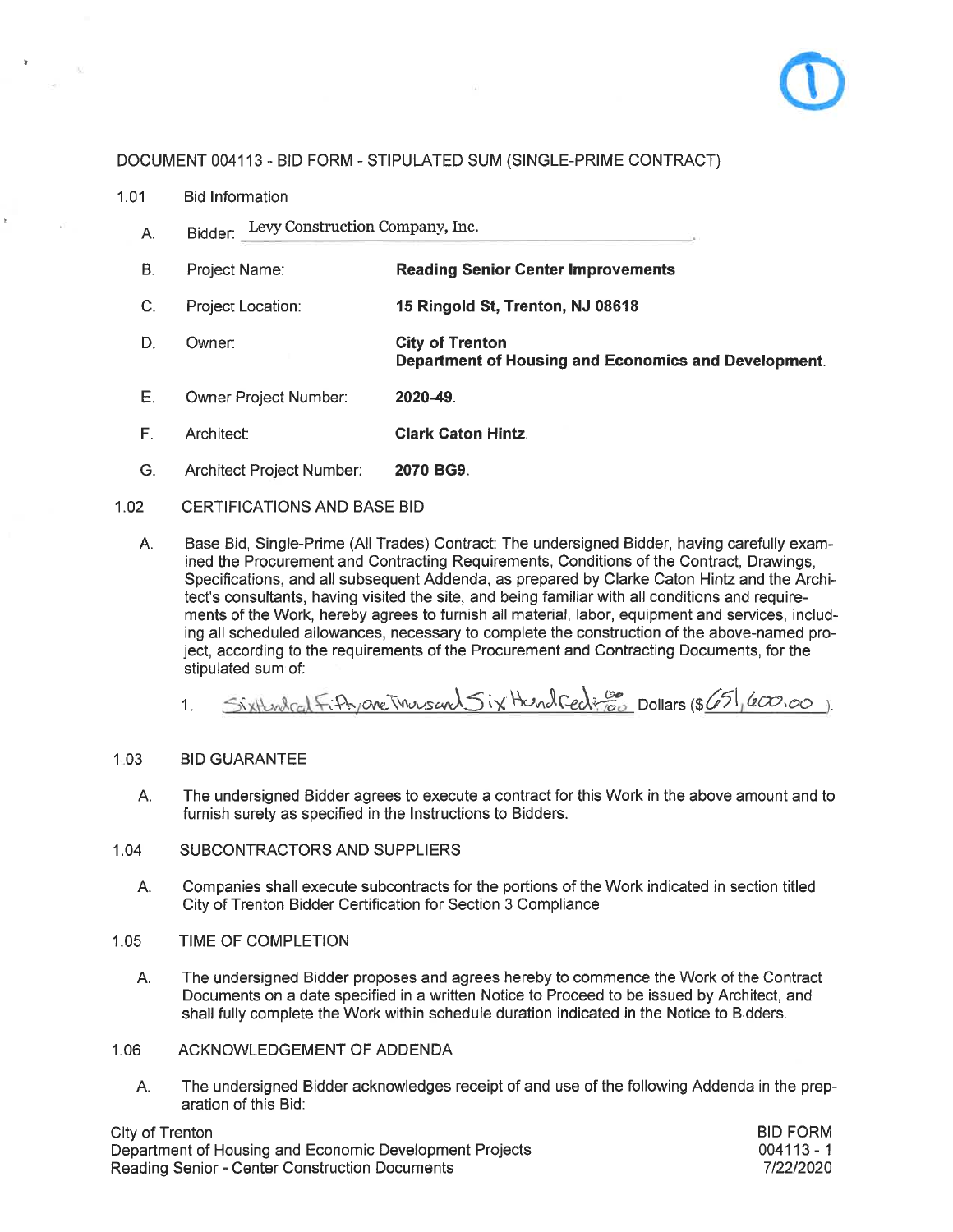

 $1.01$ **Bid Information** 

 $\bar{b}$ 

- Bidder: Levy Construction Company, Inc. А.
- $B<sub>1</sub>$ **Reading Senior Center Improvements** Project Name:
- $C_{1}$ Project Location: 15 Ringold St, Trenton, NJ 08618
- D. Owner: **City of Trenton** Department of Housing and Economics and Development.
- E. Owner Project Number: 2020-49.
- **Clark Caton Hintz.** F. Architect:
- G. Architect Project Number: 2070 BG9.

#### $1.02$ CERTIFICATIONS AND BASE BID

Base Bid, Single-Prime (All Trades) Contract: The undersigned Bidder, having carefully exam-A. ined the Procurement and Contracting Requirements, Conditions of the Contract, Drawings, Specifications, and all subsequent Addenda, as prepared by Clarke Caton Hintz and the Architect's consultants, having visited the site, and being familiar with all conditions and requirements of the Work, hereby agrees to furnish all material, labor, equipment and services, including all scheduled allowances, necessary to complete the construction of the above-named project, according to the requirements of the Procurement and Contracting Documents, for the stipulated sum of:

Sixthenland Fifty are incursand Six Hundred Co Dollars (\$651, 600,00).  $1.$ 

#### $1.03$ **BID GUARANTEE**

- A. The undersigned Bidder agrees to execute a contract for this Work in the above amount and to furnish surety as specified in the Instructions to Bidders.
- $1.04$ SUBCONTRACTORS AND SUPPLIERS
	- A. Companies shall execute subcontracts for the portions of the Work indicated in section titled City of Trenton Bidder Certification for Section 3 Compliance
- TIME OF COMPLETION 1.05
	- The undersigned Bidder proposes and agrees hereby to commence the Work of the Contract А. Documents on a date specified in a written Notice to Proceed to be issued by Architect, and shall fully complete the Work within schedule duration indicated in the Notice to Bidders.
- $1.06$ ACKNOWLEDGEMENT OF ADDENDA
	- The undersigned Bidder acknowledges receipt of and use of the following Addenda in the prep-А. aration of this Bid:

City of Trenton Department of Housing and Economic Development Projects Reading Senior - Center Construction Documents

**BID FORM**  $004113 - 1$ 7/22/2020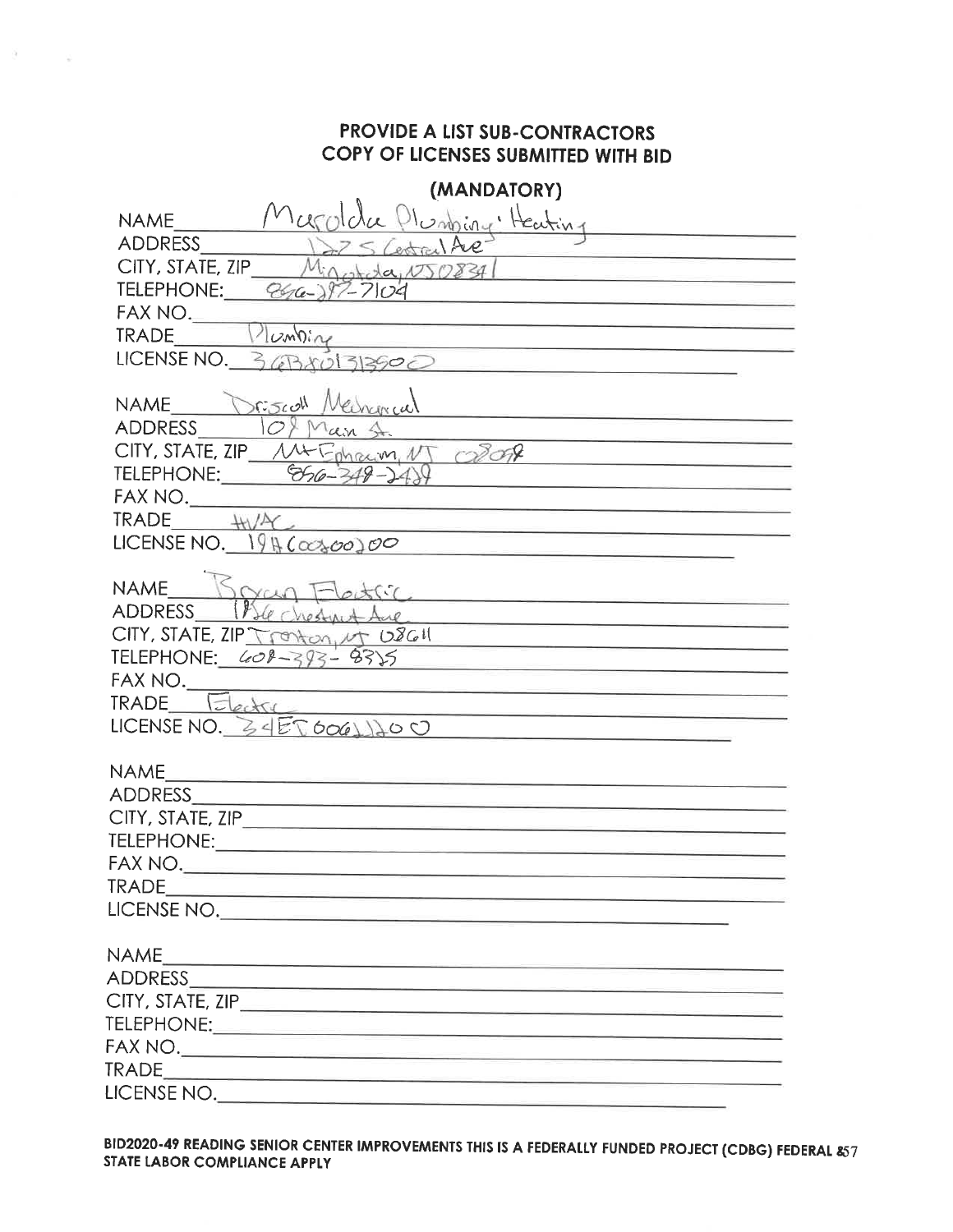$\theta = -\pi$ 

| (MANDATORY)                                                                                                                                      |
|--------------------------------------------------------------------------------------------------------------------------------------------------|
| $H_{infl}$<br><b>NAME</b>                                                                                                                        |
| <b>ADDRESS</b><br>estral Ave                                                                                                                     |
| CITY, STATE, ZIP<br>Migorida, N50834                                                                                                             |
| <u> 1955 - Johann Barnson, markatur a</u><br>TELEPHONE:<br>$P66 - 197 - 7104$                                                                    |
| FAX NO.<br><u> 1980 - An Antonio Alemania de Antonio Alemania de Antonio Alemania de Antonio Alemania de Antonio Alemania de</u>                 |
| Iumbing<br><b>TRADE</b>                                                                                                                          |
| LICENSE NO. 36BX01313900                                                                                                                         |
|                                                                                                                                                  |
| R5col<br><b>NAME</b><br><b>ADDRESS</b><br>O <sup>9</sup>                                                                                         |
| an St.<br>CITY, STATE, ZIP M+ Ephraim, NT CROP                                                                                                   |
| TELEPHONE: 856-349-248                                                                                                                           |
| <u> Lista de la contrada de la contrada de la con</u><br>FAX NO.                                                                                 |
| $TRADE + W/AC$                                                                                                                                   |
| LICENSE NO. $1946000000$                                                                                                                         |
|                                                                                                                                                  |
| <b>NAME</b><br>$\chi(\zeta)$                                                                                                                     |
| <b>ADDRESS</b>                                                                                                                                   |
| CITY, STATE, ZIP Tronton, MT USGU<br><u> 1989 - Johann Marie Barn, margaret amerikan ba</u>                                                      |
| TELEPHONE: <u>408-393-</u> 8335                                                                                                                  |
| FAX NO.<br><u> 1989 - Johann Harry Harry Harry Harry Harry Harry Harry Harry Harry Harry Harry Harry Harry Harry Harry Harry</u><br><b>TRADE</b> |
| Electri                                                                                                                                          |
| LICENSE NO. $Z \leq E \nabla 606 \triangle 100$                                                                                                  |
| <b>NAME</b>                                                                                                                                      |
| <b>ADDRESS</b><br><u> 1989 - Andrea Andrea Andrea Andrea Andrea Andrea Andrea Andrea Andrea Andrea Andrea Andrea Andrea Andrea Andr</u>          |
|                                                                                                                                                  |
|                                                                                                                                                  |
|                                                                                                                                                  |
| <b>TRADE</b>                                                                                                                                     |
| LICENSE NO.                                                                                                                                      |
| <b>NAME</b>                                                                                                                                      |
| ADDRESS<br><u> 1989 - Johann Barn, mars et al. 1989 - Anna ann an t-Anna ann an t-Anna ann an t-Anna ann an t-Anna ann an t-</u>                 |
|                                                                                                                                                  |
|                                                                                                                                                  |
|                                                                                                                                                  |
|                                                                                                                                                  |
|                                                                                                                                                  |

BID2020-49 READING SENIOR CENTER IMPROVEMENTS THIS IS A FEDERALLY FUNDED PROJECT (CDBG) FEDERAL 857 STATE LABOR COMPLIANCE APPLY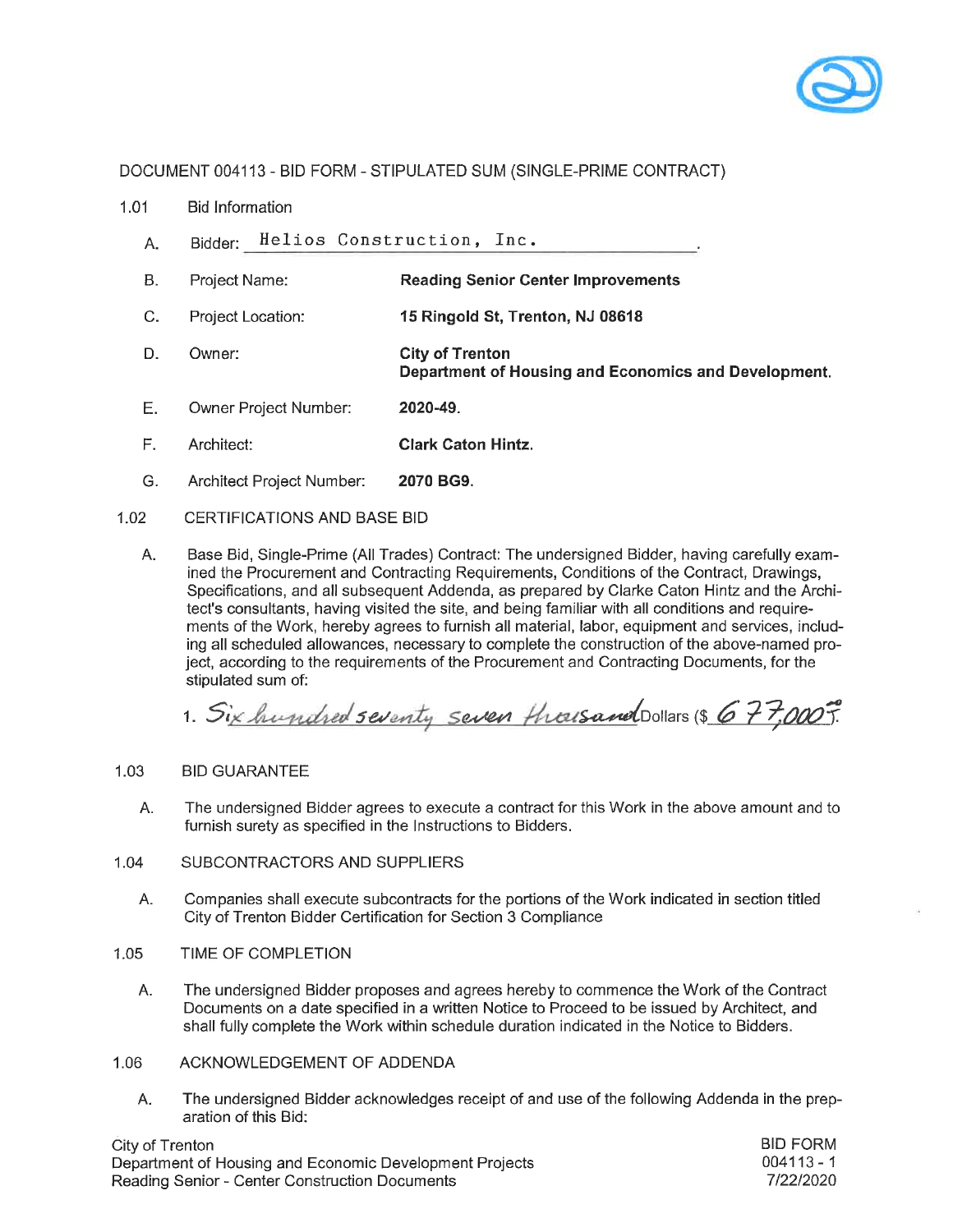

- 1.01 **Bid Information** 
	- Bidder: Helios Construction, Inc. A.
	- $B<sub>1</sub>$ Project Name: **Reading Senior Center Improvements**
	- $C_{-}$ 15 Ringold St, Trenton, NJ 08618 Project Location:
	- D. Owner: **City of Trenton** Department of Housing and Economics and Development.
	- E. Owner Project Number: 2020-49
	- $F_{\perp}$ Architect: **Clark Caton Hintz.**
	- G. Architect Project Number: 2070 BG9.
- 1.02 **CERTIFICATIONS AND BASE BID** 
	- Α. Base Bid, Single-Prime (All Trades) Contract: The undersigned Bidder, having carefully examined the Procurement and Contracting Requirements, Conditions of the Contract, Drawings, Specifications, and all subsequent Addenda, as prepared by Clarke Caton Hintz and the Architect's consultants, having visited the site, and being familiar with all conditions and requirements of the Work, hereby agrees to furnish all material, labor, equipment and services, including all scheduled allowances, necessary to complete the construction of the above-named project, according to the requirements of the Procurement and Contracting Documents, for the stipulated sum of:

1. Six hundred seventy seven thousand Dollars (\$ 677,000).

### $1.03$ **BID GUARANTEE**

- The undersigned Bidder agrees to execute a contract for this Work in the above amount and to А. furnish surety as specified in the Instructions to Bidders.
- 1.04 SUBCONTRACTORS AND SUPPLIERS
	- Companies shall execute subcontracts for the portions of the Work indicated in section titled Α. City of Trenton Bidder Certification for Section 3 Compliance
- 1.05 TIME OF COMPLETION
	- А. The undersigned Bidder proposes and agrees hereby to commence the Work of the Contract Documents on a date specified in a written Notice to Proceed to be issued by Architect, and shall fully complete the Work within schedule duration indicated in the Notice to Bidders.
- 1.06 ACKNOWLEDGEMENT OF ADDENDA
	- The undersigned Bidder acknowledges receipt of and use of the following Addenda in the prep-Α. aration of this Bid:

City of Trenton Department of Housing and Economic Development Projects Reading Senior - Center Construction Documents

**BID FORM**  $004113 - 1$ 7/22/2020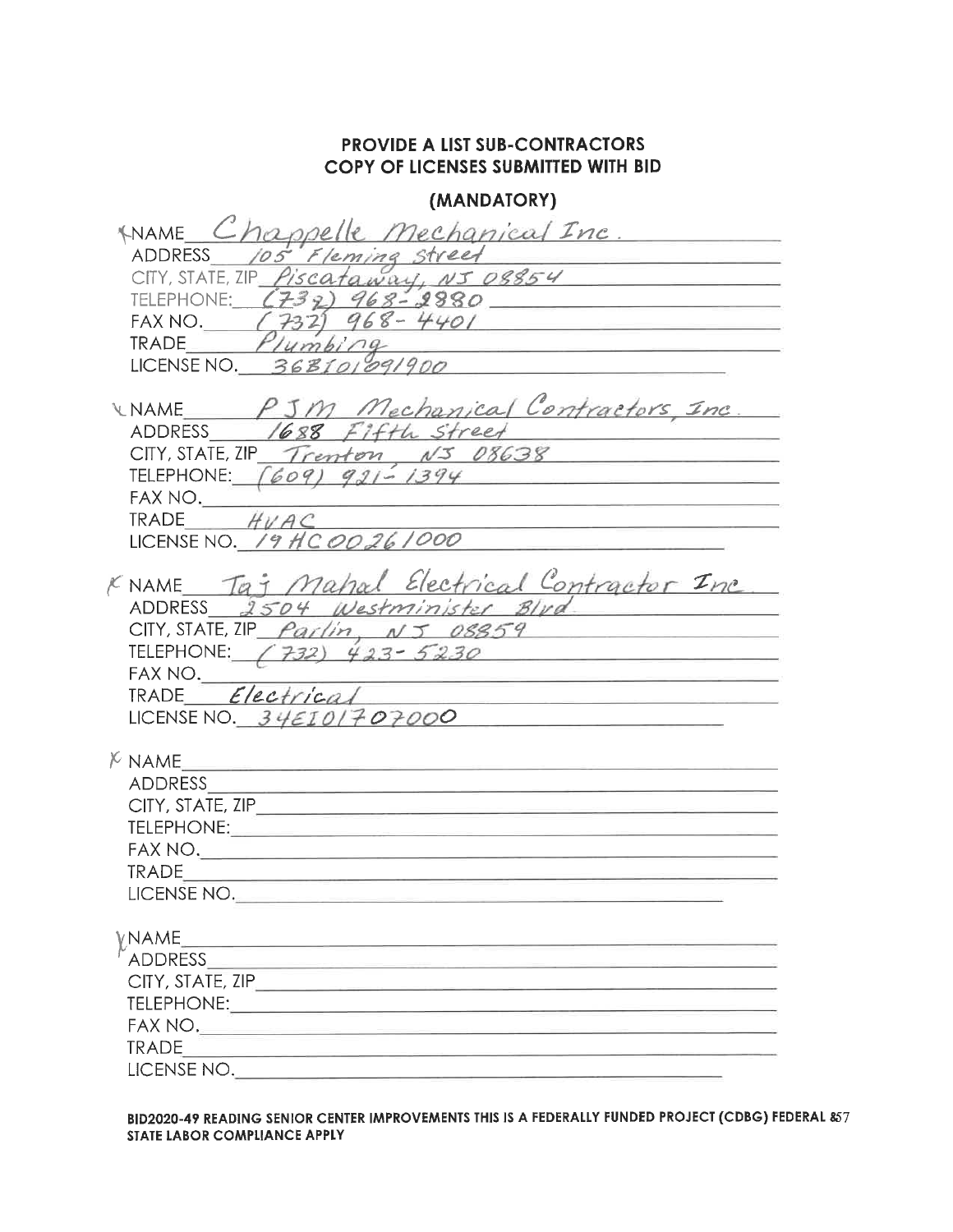## (MANDATORY)

| MAME Chappelle mechanical Inc.<br>ADDRESS 105 Fleming street<br>CITY, STATE, ZIP Piscataway, NJ 08854<br>TELEPHONE: (732) 968-2880<br>FAX NO. $(732) 968 - 4401$<br>Plumbing<br><b>TRADE</b><br>LICENSE NO. 368101091900 |
|--------------------------------------------------------------------------------------------------------------------------------------------------------------------------------------------------------------------------|
| UNAME PJM Mechanical Contractors Inc.<br>ADDRESS 1688 Fifth Street<br>CITY, STATE, ZIP Trenton, $N5$ 08638<br>TELEPHONE: $(609)$ 921 - 1394<br>FAX NO.<br>TRADE $HVAC$<br>LICENSE NO. 19 HC 00 26 1000                   |
| KNAME Taj Mahal Electrical Contractor Inc.<br>ADDRESS 2504 Westminister Blvd<br>CITY, STATE, ZIP $Parlin, \, NS. 08859$<br>TELEPHONE: (732) $423 - 5230$<br>FAX NO.<br>TRADE Electrical<br>LICENSE NO. $34EIO/707000$    |
| $K$ NAME<br><b>ADDRESS</b><br>CITY, STATE, ZIP______<br>TELEPHONE: TELEPHONE<br>FAX NO.<br>TRADE<br>LICENSE NO.                                                                                                          |
| VNAME<br>ADDRESS<br>CITY, STATE, ZIP_<br>TELEPHONE:<br>FAX NO.<br><b>TRADE</b><br>LICENSE NO.                                                                                                                            |

BID2020-49 READING SENIOR CENTER IMPROVEMENTS THIS IS A FEDERALLY FUNDED PROJECT (CDBG) FEDERAL &7 STATE LABOR COMPLIANCE APPLY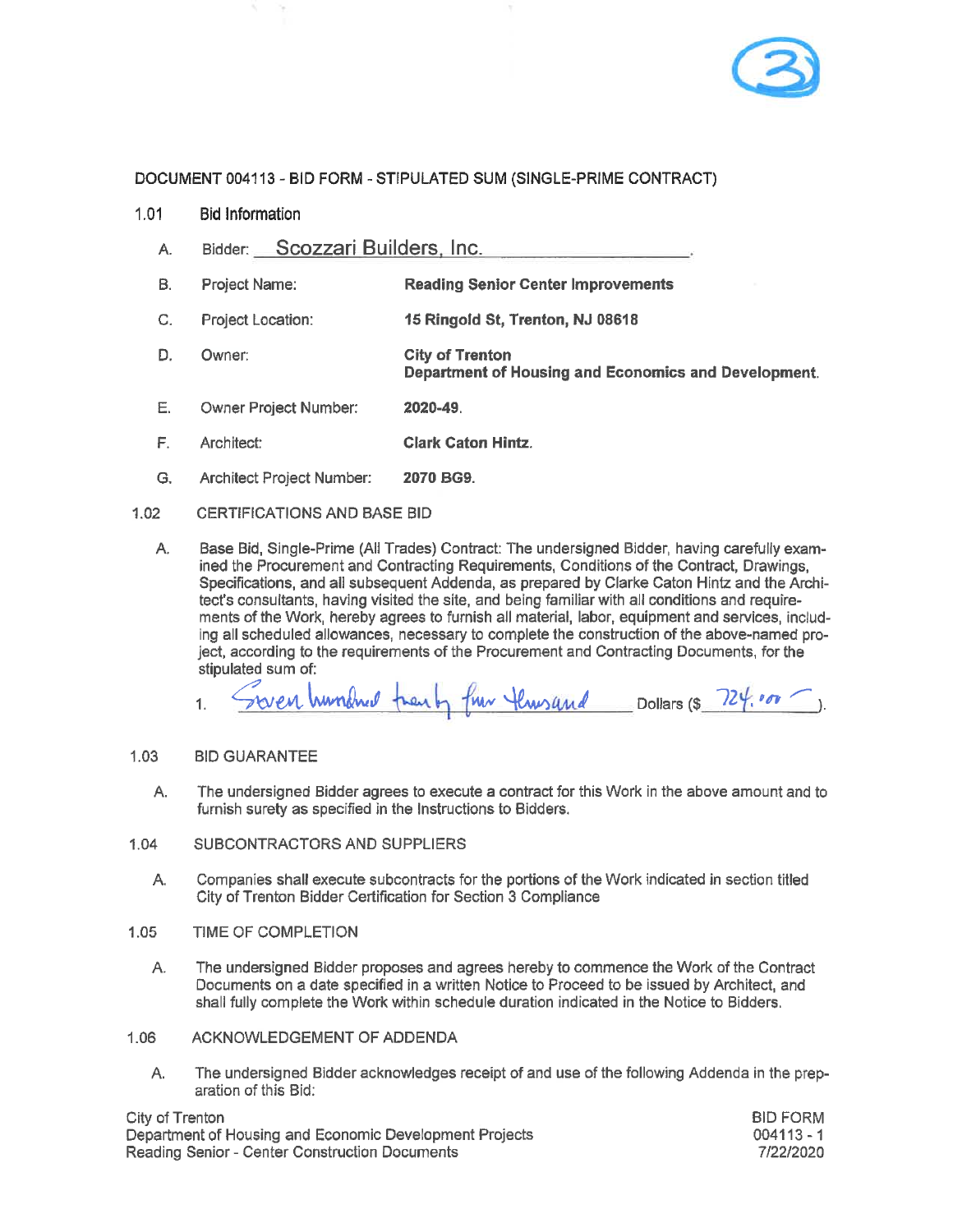

- $1.01$ **Bid Information** 
	- Bidder: Scozzari Builders, Inc. A.
	- **B**. Project Name: **Reading Senior Center Improvements**
	- C. Project Location: 15 Ringold St, Trenton, NJ 08618
	- D. **City of Trenton** Owner: Department of Housing and Economics and Development.
	- E. Owner Project Number: 2020-49.
	- F. Architect: **Clark Caton Hintz.**
	- G. Architect Project Number: 2070 BG9.

### $1.02$ CERTIFICATIONS AND BASE BID

A. Base Bid, Single-Prime (All Trades) Contract: The undersigned Bidder, having carefully examined the Procurement and Contracting Requirements, Conditions of the Contract, Drawings, Specifications, and all subsequent Addenda, as prepared by Clarke Caton Hintz and the Architect's consultants, having visited the site, and being familiar with all conditions and requirements of the Work, hereby agrees to furnish all material, labor, equipment and services, including all scheduled allowances, necessary to complete the construction of the above-named project, according to the requirements of the Procurement and Contracting Documents, for the stipulated sum of:

fun Hunsand Dollars (\$ 724.000). hundred trent  $\mathbf{1}$ .

#### $1.03$ **BID GUARANTEE**

The undersigned Bidder agrees to execute a contract for this Work in the above amount and to A. furnish surety as specified in the Instructions to Bidders.

### SUBCONTRACTORS AND SUPPLIERS  $1.04$

- A. Companies shall execute subcontracts for the portions of the Work indicated in section titled City of Trenton Bidder Certification for Section 3 Compliance
- $1.05$ TIME OF COMPLETION
	- The undersigned Bidder proposes and agrees hereby to commence the Work of the Contract Α. Documents on a date specified in a written Notice to Proceed to be issued by Architect, and shall fully complete the Work within schedule duration indicated in the Notice to Bidders.
- 1.06 ACKNOWLEDGEMENT OF ADDENDA
	- A. The undersigned Bidder acknowledges receipt of and use of the following Addenda in the preparation of this Bid:

City of Trenton Department of Housing and Economic Development Projects Reading Senior - Center Construction Documents

**BID FORM**  $004113 - 1$ 7/22/2020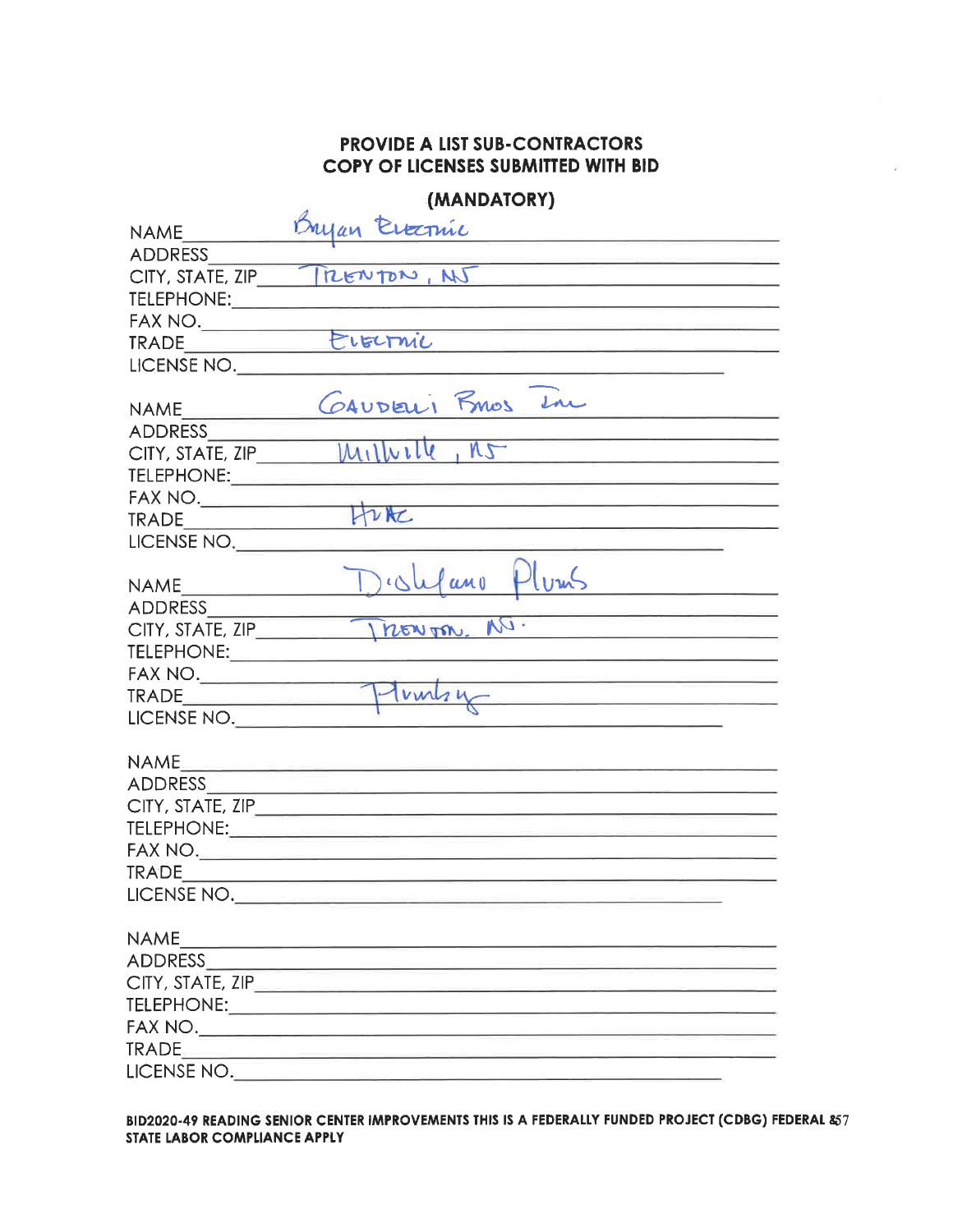|  | (MANDATORY) |
|--|-------------|
|  |             |

| <b>NAME</b>                                                                                                                                                                                                                                                                                                                                              | Dryan<br>Evecpuic                                                                                                     |
|----------------------------------------------------------------------------------------------------------------------------------------------------------------------------------------------------------------------------------------------------------------------------------------------------------------------------------------------------------|-----------------------------------------------------------------------------------------------------------------------|
| <b>ADDRESS</b>                                                                                                                                                                                                                                                                                                                                           |                                                                                                                       |
| CITY, STATE, ZIP                                                                                                                                                                                                                                                                                                                                         | MENTON, NJ                                                                                                            |
| <b>TELEPHONE:</b>                                                                                                                                                                                                                                                                                                                                        |                                                                                                                       |
| $\begin{picture}(180,10) \put(0,0){\line(1,0){10}} \put(0,0){\line(1,0){10}} \put(0,0){\line(1,0){10}} \put(0,0){\line(1,0){10}} \put(0,0){\line(1,0){10}} \put(0,0){\line(1,0){10}} \put(0,0){\line(1,0){10}} \put(0,0){\line(1,0){10}} \put(0,0){\line(1,0){10}} \put(0,0){\line(1,0){10}} \put(0,0){\line(1,0){10}} \put(0,0){\line(1,0){10}} \put(0$ |                                                                                                                       |
| TRADE                                                                                                                                                                                                                                                                                                                                                    | ELECTMIC<br>and the control of the control of the control of                                                          |
| LICENSE NO.                                                                                                                                                                                                                                                                                                                                              |                                                                                                                       |
|                                                                                                                                                                                                                                                                                                                                                          |                                                                                                                       |
| <b>NAME</b>                                                                                                                                                                                                                                                                                                                                              | GAUDELI RMOS In                                                                                                       |
| <b>ADDRESS</b>                                                                                                                                                                                                                                                                                                                                           |                                                                                                                       |
| CITY, STATE, ZIP                                                                                                                                                                                                                                                                                                                                         | $M_1$ $W_1$<br>$N_{\tau}$<br>the control of the control of the control of the control of the control of               |
| TELEPHONE:                                                                                                                                                                                                                                                                                                                                               |                                                                                                                       |
| FAX NO.                                                                                                                                                                                                                                                                                                                                                  |                                                                                                                       |
| <b>TRADE</b>                                                                                                                                                                                                                                                                                                                                             | ture                                                                                                                  |
| LICENSE NO.                                                                                                                                                                                                                                                                                                                                              |                                                                                                                       |
|                                                                                                                                                                                                                                                                                                                                                          |                                                                                                                       |
| <b>NAME</b>                                                                                                                                                                                                                                                                                                                                              | $\int c\Delta u\int a_{0}u$                                                                                           |
| <b>ADDRESS</b>                                                                                                                                                                                                                                                                                                                                           |                                                                                                                       |
| CITY, STATE, ZIP                                                                                                                                                                                                                                                                                                                                         | $v_2$ .<br>nowon.                                                                                                     |
| TELEPHONE: TELEPHONE                                                                                                                                                                                                                                                                                                                                     |                                                                                                                       |
|                                                                                                                                                                                                                                                                                                                                                          | FAX NO. $T_{\text{bulk}}$                                                                                             |
|                                                                                                                                                                                                                                                                                                                                                          | <u> De la Carlo de la Carlo de la Carlo de la Carlo de la Carlo de la Carlo de la Carlo de la Carlo de la Carlo d</u> |
| LICENSE NO.                                                                                                                                                                                                                                                                                                                                              |                                                                                                                       |
|                                                                                                                                                                                                                                                                                                                                                          |                                                                                                                       |
| <b>NAME</b>                                                                                                                                                                                                                                                                                                                                              |                                                                                                                       |
| ADDRESS                                                                                                                                                                                                                                                                                                                                                  | <u> Alexandria de la contrada de la contrada de la contrada de la contrada de la contrada de la contrada de la c</u>  |
|                                                                                                                                                                                                                                                                                                                                                          |                                                                                                                       |
|                                                                                                                                                                                                                                                                                                                                                          |                                                                                                                       |
|                                                                                                                                                                                                                                                                                                                                                          |                                                                                                                       |
| <b>TRADE</b>                                                                                                                                                                                                                                                                                                                                             | <u> 1980 - Jan James James James James James James James James James James James James James James James James Ja</u> |
| LICENSE NO.                                                                                                                                                                                                                                                                                                                                              |                                                                                                                       |
| <b>NAME</b>                                                                                                                                                                                                                                                                                                                                              |                                                                                                                       |
| ADDRESS                                                                                                                                                                                                                                                                                                                                                  |                                                                                                                       |
|                                                                                                                                                                                                                                                                                                                                                          |                                                                                                                       |
|                                                                                                                                                                                                                                                                                                                                                          |                                                                                                                       |
|                                                                                                                                                                                                                                                                                                                                                          |                                                                                                                       |
|                                                                                                                                                                                                                                                                                                                                                          |                                                                                                                       |
| LICENSE NO.                                                                                                                                                                                                                                                                                                                                              |                                                                                                                       |
|                                                                                                                                                                                                                                                                                                                                                          |                                                                                                                       |

BID2020-49 READING SENIOR CENTER IMPROVEMENTS THIS IS A FEDERALLY FUNDED PROJECT (CDBG) FEDERAL &57 STATE LABOR COMPLIANCE APPLY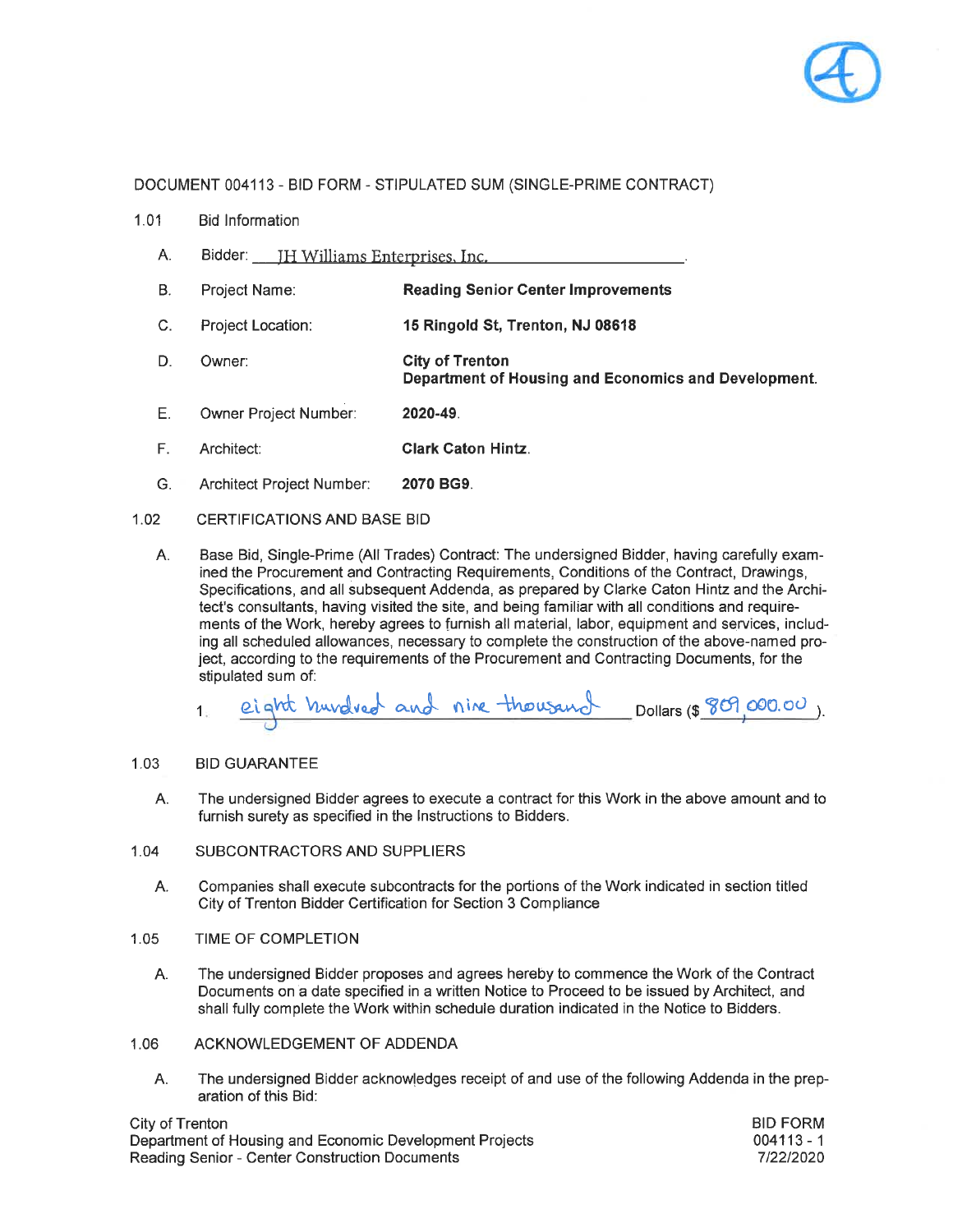

- $1.01$ **Bid Information** 
	- A. Bidder: **H Williams Enterprises**, Inc.
	- **B. Reading Senior Center Improvements** Project Name:
	- $C_{1}$ Project Location: 15 Ringold St, Trenton, NJ 08618
	- D. Owner: **City of Trenton** Department of Housing and Economics and Development.
	- Ε. Owner Project Number: 2020-49.
	- F. Architect: **Clark Caton Hintz.**
	- G. Architect Project Number: 2070 BG9.
- $1.02$ **CERTIFICATIONS AND BASE BID** 
	- A. Base Bid, Single-Prime (All Trades) Contract: The undersigned Bidder, having carefully examined the Procurement and Contracting Requirements, Conditions of the Contract, Drawings, Specifications, and all subsequent Addenda, as prepared by Clarke Caton Hintz and the Architect's consultants, having visited the site, and being familiar with all conditions and requirements of the Work, hereby agrees to furnish all material, labor, equipment and services, including all scheduled allowances, necessary to complete the construction of the above-named project, according to the requirements of the Procurement and Contracting Documents, for the stipulated sum of:
		- eight hundred and nine thousand Dollars (\$809,000.00).

### 1.03 **BID GUARANTEE**

- The undersigned Bidder agrees to execute a contract for this Work in the above amount and to A. furnish surety as specified in the Instructions to Bidders.
- $1.04$ SUBCONTRACTORS AND SUPPLIERS
	- A. Companies shall execute subcontracts for the portions of the Work indicated in section titled City of Trenton Bidder Certification for Section 3 Compliance
- $1.05$ TIME OF COMPLETION
	- A. The undersigned Bidder proposes and agrees hereby to commence the Work of the Contract Documents on a date specified in a written Notice to Proceed to be issued by Architect, and shall fully complete the Work within schedule duration indicated in the Notice to Bidders.
- ACKNOWLEDGEMENT OF ADDENDA 1.06
	- The undersigned Bidder acknowledges receipt of and use of the following Addenda in the prep-А. aration of this Bid:

City of Trenton Department of Housing and Economic Development Projects Reading Senior - Center Construction Documents